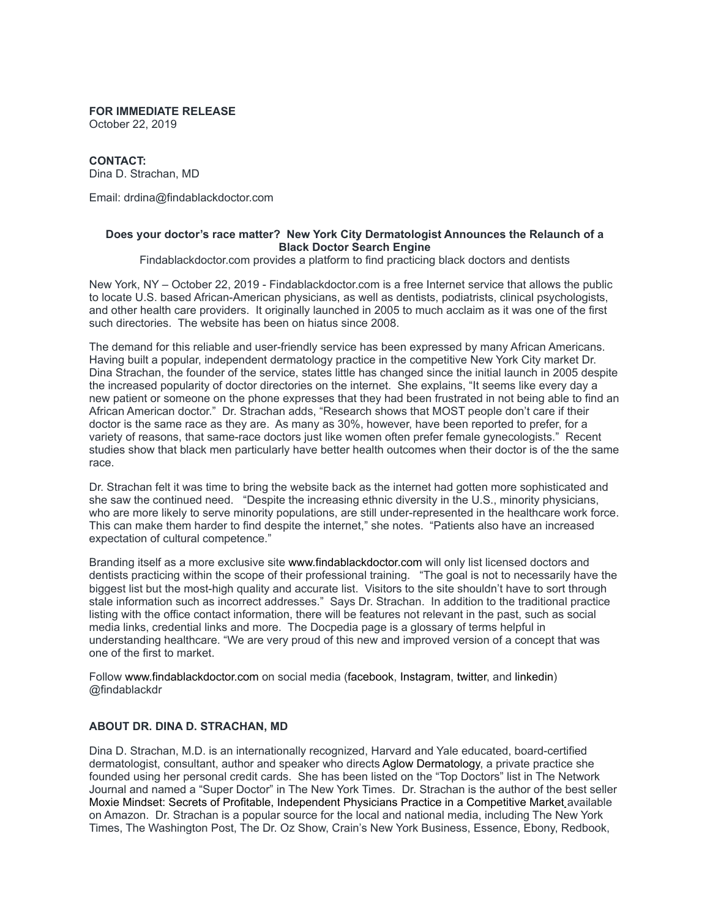## **FOR IMMEDIATE RELEASE**

October 22, 2019

## **CONTACT:**

Dina D. Strachan, MD

Email: drdina@findablackdoctor.com

## **Does your doctor's race matter? New York City Dermatologist Announces the Relaunch of a Black Doctor Search Engine**

Findablackdoctor.com provides a platform to find practicing black doctors and dentists

New York, NY – October 22, 2019 - Findablackdoctor.com is a free Internet service that allows the public to locate U.S. based African-American physicians, as well as dentists, podiatrists, clinical psychologists, and other health care providers. It originally launched in 2005 to much acclaim as it was one of the first such directories. The website has been on hiatus since 2008.

The demand for this reliable and user-friendly service has been expressed by many African Americans. Having built a popular, independent dermatology practice in the competitive New York City market Dr. Dina Strachan, the founder of the service, states little has changed since the initial launch in 2005 despite the increased popularity of doctor directories on the internet. She explains, "It seems like every day a new patient or someone on the phone expresses that they had been frustrated in not being able to find an African American doctor." Dr. Strachan adds, "Research shows that MOST people don't care if their doctor is the same race as they are. As many as 30%, however, have been reported to prefer, for a variety of reasons, that same-race doctors just like women often prefer female gynecologists." Recent studies show that black men particularly have better health outcomes when their doctor is of the the same race.

Dr. Strachan felt it was time to bring the website back as the internet had gotten more sophisticated and she saw the continued need. "Despite the increasing ethnic diversity in the U.S., minority physicians, who are more likely to serve minority populations, are still under-represented in the healthcare work force. This can make them harder to find despite the internet," she notes. "Patients also have an increased expectation of cultural competence."

Branding itself as a more exclusive site www.findablackdoctor.com will only list licensed doctors and dentists practicing within the scope of their professional training. "The goal is not to necessarily have the biggest list but the most-high quality and accurate list. Visitors to the site shouldn't have to sort through stale information such as incorrect addresses." Says Dr. Strachan. In addition to the traditional practice listing with the office contact information, there will be features not relevant in the past, such as social media links, credential links and more. The Docpedia page is a glossary of terms helpful in understanding healthcare. "We are very proud of this new and improved version of a concept that was one of the first to market.

Follow www.findablackdoctor.com on social media (facebook, Instagram, twitter, and linkedin) @findablackdr

## **ABOUT DR. DINA D. STRACHAN, MD**

Dina D. Strachan, M.D. is an internationally recognized, Harvard and Yale educated, board-certified dermatologist, consultant, author and speaker who directs Aglow Dermatology, a private practice she founded using her personal credit cards. She has been listed on the "Top Doctors" list in The Network Journal and named a "Super Doctor" in The New York Times. Dr. Strachan is the author of the best seller Moxie Mindset: Secrets of Profitable, Independent Physicians Practice in a Competitive Market available on Amazon. Dr. Strachan is a popular source for the local and national media, including The New York Times, The Washington Post, The Dr. Oz Show, Crain's New York Business, Essence, Ebony, Redbook,